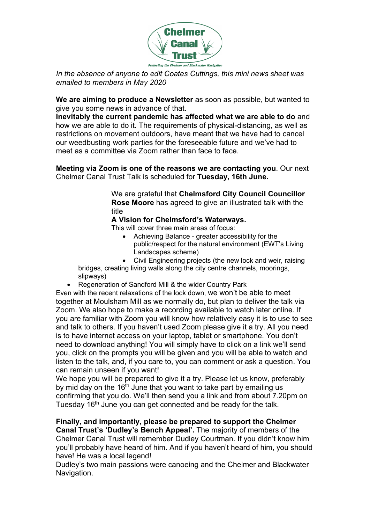

In the absence of anyone to edit Coates Cuttings, this mini news sheet was emailed to members in May 2020

We are aiming to produce a Newsletter as soon as possible, but wanted to give you some news in advance of that.

Inevitably the current pandemic has affected what we are able to do and how we are able to do it. The requirements of physical-distancing, as well as restrictions on movement outdoors, have meant that we have had to cancel our weedbusting work parties for the foreseeable future and we've had to meet as a committee via Zoom rather than face to face.

Meeting via Zoom is one of the reasons we are contacting you. Our next Chelmer Canal Trust Talk is scheduled for Tuesday, 16th June.

> We are grateful that Chelmsford City Council Councillor Rose Moore has agreed to give an illustrated talk with the title

## A Vision for Chelmsford's Waterways.

This will cover three main areas of focus:

- Achieving Balance greater accessibility for the public/respect for the natural environment (EWT's Living Landscapes scheme)
- Civil Engineering projects (the new lock and weir, raising

bridges, creating living walls along the city centre channels, moorings, slipways)

Regeneration of Sandford Mill & the wider Country Park

Even with the recent relaxations of the lock down, we won't be able to meet together at Moulsham Mill as we normally do, but plan to deliver the talk via Zoom. We also hope to make a recording available to watch later online. If you are familiar with Zoom you will know how relatively easy it is to use to see and talk to others. If you haven't used Zoom please give it a try. All you need is to have internet access on your laptop, tablet or smartphone. You don't need to download anything! You will simply have to click on a link we'll send you, click on the prompts you will be given and you will be able to watch and listen to the talk, and, if you care to, you can comment or ask a question. You can remain unseen if you want!

We hope you will be prepared to give it a try. Please let us know, preferably by mid day on the  $16<sup>th</sup>$  June that you want to take part by emailing us confirming that you do. We'll then send you a link and from about 7.20pm on Tuesday 16<sup>th</sup> June you can get connected and be ready for the talk.

Finally, and importantly, please be prepared to support the Chelmer Canal Trust's 'Dudley's Bench Appeal'. The majority of members of the Chelmer Canal Trust will remember Dudley Courtman. If you didn't know him you'll probably have heard of him. And if you haven't heard of him, you should have! He was a local legend!

Dudley's two main passions were canoeing and the Chelmer and Blackwater Navigation.